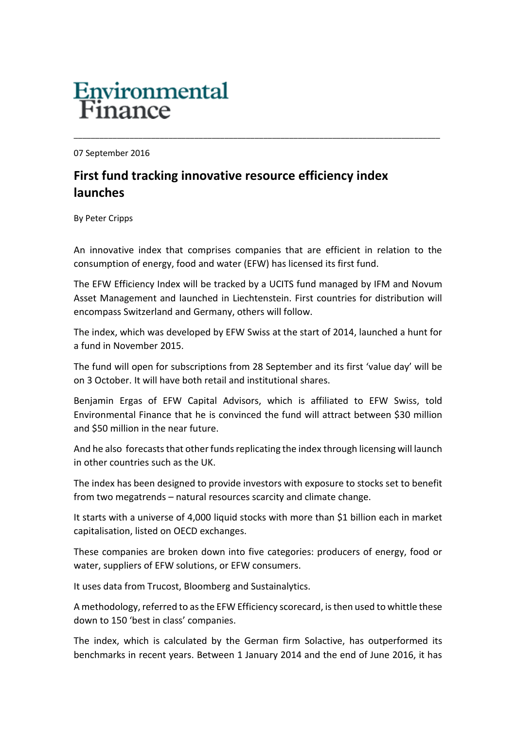## **Environmental**<br>Finance

07 September 2016

## **First fund tracking innovative resource efficiency index launches**

By Peter Cripps

An innovative index that comprises companies that are efficient in relation to the consumption of energy, food and water (EFW) has licensed its first fund.

\_\_\_\_\_\_\_\_\_\_\_\_\_\_\_\_\_\_\_\_\_\_\_\_\_\_\_\_\_\_\_\_\_\_\_\_\_\_\_\_\_\_\_\_\_\_\_\_\_\_\_\_\_\_\_\_\_\_\_\_\_\_\_\_\_\_\_\_\_\_\_\_\_\_\_\_\_\_\_\_\_\_\_\_\_

The EFW Efficiency Index will be tracked by a UCITS fund managed by IFM and Novum Asset Management and launched in Liechtenstein. First countries for distribution will encompass Switzerland and Germany, others will follow.

The index, which was developed by EFW Swiss at the start of 2014, launched a hunt for a fund in November 2015.

The fund will open for subscriptions from 28 September and its first 'value day' will be on 3 October. It will have both retail and institutional shares.

Benjamin Ergas of EFW Capital Advisors, which is affiliated to EFW Swiss, told Environmental Finance that he is convinced the fund will attract between \$30 million and \$50 million in the near future.

And he also forecasts that other funds replicating the index through licensing will launch in other countries such as the UK.

The index has been designed to provide investors with exposure to stocks set to benefit from two megatrends – natural resources scarcity and climate change.

It starts with a universe of 4,000 liquid stocks with more than \$1 billion each in market capitalisation, listed on OECD exchanges.

These companies are broken down into five categories: producers of energy, food or water, suppliers of EFW solutions, or EFW consumers.

It uses data from Trucost, Bloomberg and Sustainalytics.

A methodology, referred to as the EFW Efficiency scorecard, is then used to whittle these down to 150 'best in class' companies.

The index, which is calculated by the German firm Solactive, has outperformed its benchmarks in recent years. Between 1 January 2014 and the end of June 2016, it has